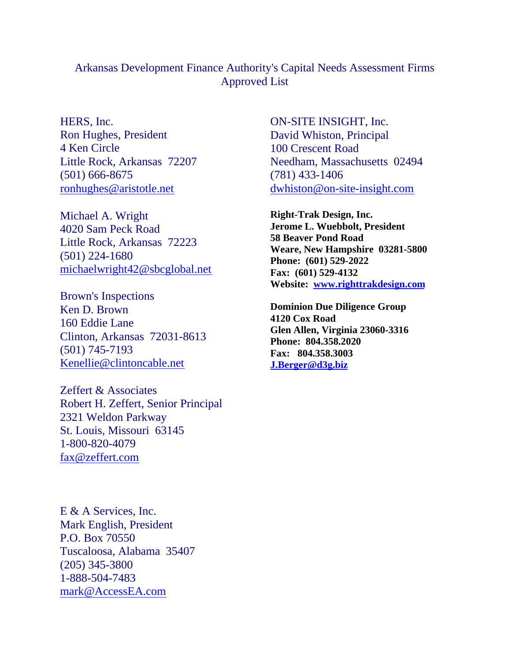## Arkansas Development Finance Authority's Capital Needs Assessment Firms Approved List<br>
HERS, Inc.<br>
ON-SITE INSIGHT, Inc.

Little Rock, Arkansas 72223 michaelwright42@sbcglobal.net

Brown's Inspections<br>
Ken D. Brown<br> **Brown**<br> **Brown**<br> **Brown**<br> **Brown**<br> **Brown**<br> **Brown**<br> **Brown** Ken D. Brown **Deminion Due Diligence Group** 160 Eddie Lane **160 Eddie Lane** 160 Eddie Lane Clinton, Arkansas 72031-8613  $(501)$  745-7193  $\overline{r}$   $\overline{r}$   $\overline{r}$   $\overline{r}$   $\overline{r}$   $\overline{r}$   $\overline{r}$   $\overline{r}$   $\overline{r}$   $\overline{r}$   $\overline{r}$   $\overline{r}$   $\overline{r}$   $\overline{r}$   $\overline{r}$   $\overline{r}$   $\overline{r}$   $\overline{r}$   $\overline{r}$   $\overline{r}$   $\overline{r}$   $\overline{r}$   $\overline{r$ Kenellie@clintoncable.net

Zeffert & Associates Robert H. Zeffert, Senior Principal 2321 Weldon Parkway St. Louis, Missouri 63145 1-800-820-4079 fax@zeffert.com

E & A Services, Inc. Mark English, President P.O. Box 70550 Tuscaloosa, Alabama 35407 (205) 345-3800 1-888-504-7483 mark@AccessEA.com

Ron Hughes, President David Whiston, Principal 4 Ken Circle 100 Crescent Road Little Rock, Arkansas 72207 Needham, Massachusetts 02494 (501) 666-8675 ronhughes@aristotle.net dwhiston@on-site-insight.com Arkansas Development Finance Authority's Capital Needs Assessment Firms<br>
Approved List<br>
MERS, Inc.<br>
Ron Hughes, President<br>
4 Ken Circle<br>
Little Rock, Arkansas 72207<br>
(501) 666-8675<br>
<u>Conhughes@aristotle.net</u><br>
Michael A. Wr ON-SITE INSIGHT, Inc. 100 Crescent Road (781) 433-1406 dwhiston@on-site-insight.com

4020 Sam Peck Road **Service Service Service Service Service Service Service Service Service Service Service Service Service Service Service Service Service Service Service Service Service Service Service Service Service Se**  $\frac{1}{224-1680}$   $\frac{1}{224-1680}$   $\frac{1}{204}$   $\frac{1}{204}$   $\frac{1}{204}$   $\frac{1}{204}$   $\frac{1}{204}$   $\frac{1}{204}$   $\frac{1}{204}$   $\frac{1}{204}$   $\frac{1}{204}$   $\frac{1}{204}$   $\frac{1}{204}$   $\frac{1}{204}$   $\frac{1}{204}$   $\frac{1}{204}$   $\frac{1}{204}$   $\frac{1}{2$ **Right-Trak Design, Inc. Jerome L. Wuebbolt, President 58 Beaver Pond Road Weare, New Hampshire 03281-5800 Phone: (601) 529-2022 Fax: (601) 529-4132 Website: www.righttrakdesign.com** Arkansas Development Finance Authority's Capital Needs Assessment Firms<br>
Approved List<br>
HERS, Inc.<br>
Rom Hughes, President<br>
4 Ken Circle<br>
4 Ken Circle<br>
100 Crescent Road<br>
100 Crescent Road<br>
100 Crescent Road<br>
100 Crescent R

**4120 Cox Road Glen Allen, Virginia 23060-3316 Phone: 804.358.2020 Fax: 804.358.3003 J.Berger@d3g.biz**